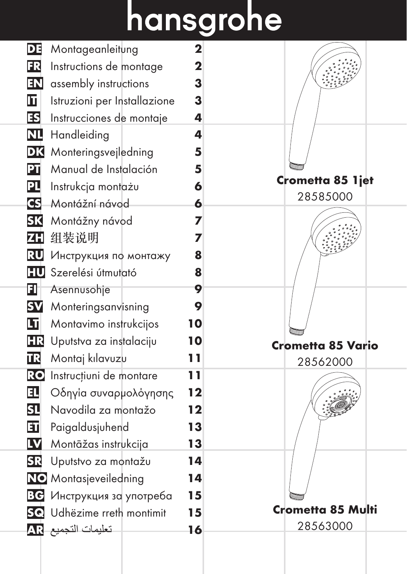# hansgrohe

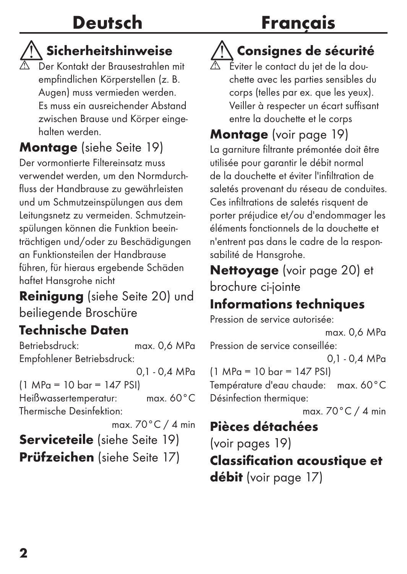### Deutsch

### Français

#### Sicherheitshinweise

 Der Kontakt der Brausestrahlen mit empfindlichen Körperstellen (z. B. Augen) muss vermieden werden. Es muss ein ausreichender Abstand zwischen Brause und Körper eingehalten werden.

#### Montage (siehe Seite 19)

Der vormontierte Filtereinsatz muss verwendet werden, um den Normdurchfluss der Handbrause zu gewährleisten und um Schmutzeinspülungen aus dem Leitungsnetz zu vermeiden. Schmutzeinspülungen können die Funktion beeinträchtigen und/oder zu Beschädigungen an Funktionsteilen der Handbrause führen, für hieraus ergebende Schäden haftet Hansgrohe nicht

Reinigung (siehe Seite 20) und beiliegende Broschüre

#### Technische Daten

Betriebsdruck: max. 0,6 MPa Empfohlener Betriebsdruck:

0,1 - 0,4 MPa (1 MPa = 10 bar = 147 PSI) Heißwassertemperatur: max. 60°C Thermische Desinfektion: max. 70°C / 4 min Serviceteile (siehe Seite 19) Prüfzeichen (siehe Seite 17)

#### Consignes de sécurité

 Éviter le contact du jet de la douchette avec les parties sensibles du corps (telles par ex. que les yeux). Veiller à respecter un écart suffisant entre la douchette et le corps

Montage (voir page 19)

La garniture filtrante prémontée doit être utilisée pour garantir le débit normal de la douchette et éviter l'infiltration de saletés provenant du réseau de conduites. Ces infiltrations de saletés risquent de porter préjudice et/ou d'endommager les éléments fonctionnels de la douchette et n'entrent pas dans le cadre de la responsabilité de Hansgrohe.

Nettoyage (voir page 20) et brochure ci-jointe

#### Informations techniques

Pression de service autorisée: max. 0,6 MPa Pression de service conseillée: 0,1 - 0,4 MPa (1 MPa = 10 bar = 147 PSI) Température d'eau chaude: max. 60°C Désinfection thermique: max. 70°C / 4 min Pièces détachées (voir pages 19)

Classification acoustique et débit (voir page 17)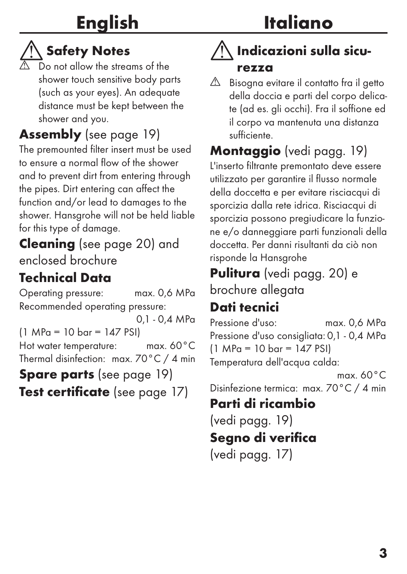### English

### Italiano

### **Notes**

 $\overline{\mathbb{A}}$  Do not allow the streams of the shower touch sensitive body parts (such as your eyes). An adequate distance must be kept between the shower and you.

Assembly (see page 19)

The premounted filter insert must be used to ensure a normal flow of the shower and to prevent dirt from entering through the pipes. Dirt entering can affect the function and/or lead to damages to the shower. Hansgrohe will not be held liable for this type of damage.

Cleaning (see page 20) and enclosed brochure

#### Technical Data

Operating pressure: max. 0,6 MPa Recommended operating pressure:

0,1 - 0,4 MPa

(1 MPa = 10 bar = 147 PSI)

Hot water temperature: max. 60°C Thermal disinfection: max. 70°C / 4 min

Spare parts (see page 19) **Test certificate** (see page 17)

#### Indicazioni sulla sicurezza

 $\triangle$  Bisogna evitare il contatto fra il getto della doccia e parti del corpo delicate (ad es. gli occhi). Fra il soffione ed il corpo va mantenuta una distanza sufficiente.

### Montaggio (vedi pagg. 19)

L'inserto filtrante premontato deve essere utilizzato per garantire il flusso normale della doccetta e per evitare risciacqui di sporcizia dalla rete idrica. Risciacqui di sporcizia possono pregiudicare la funzione e/o danneggiare parti funzionali della doccetta. Per danni risultanti da ciò non risponde la Hansgrohe

Pulitura (vedi pagg. 20) e brochure allegata

#### Dati tecnici

Pressione d'uso: max. 0,6 MPa Pressione d'uso consigliata: 0,1 - 0,4 MPa (1 MPa = 10 bar = 147 PSI) Temperatura dell'acqua calda:

max. 60°C Disinfezione termica: max. 70°C / 4 min

#### Parti di ricambio

(vedi pagg. 19) Segno di verifica (vedi pagg. 17)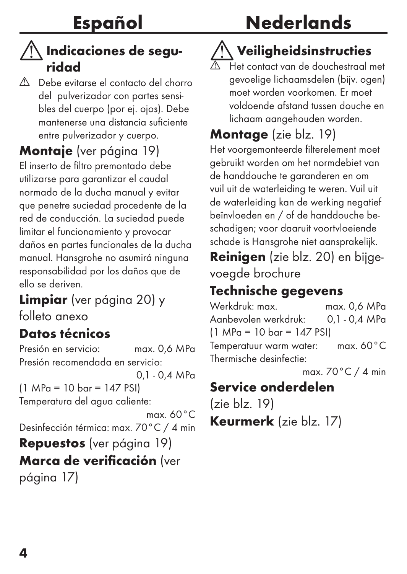#### $\bigwedge$  Indicaciones de seguridad

 Debe evitarse el contacto del chorro del pulverizador con partes sensibles del cuerpo (por ej. ojos). Debe mantenerse una distancia suficiente entre pulverizador y cuerpo.

Montaje (ver página 19)

El inserto de filtro premontado debe utilizarse para garantizar el caudal normado de la ducha manual y evitar que penetre suciedad procedente de la red de conducción. La suciedad puede limitar el funcionamiento y provocar daños en partes funcionales de la ducha manual. Hansgrohe no asumirá ninguna responsabilidad por los daños que de ello se deriven.

Limpiar (ver página 20) y folleto anexo

#### Datos técnicos

Presión en servicio: max. 0,6 MPa Presión recomendada en servicio: 0,1 - 0,4 MPa (1 MPa = 10 bar = 147 PSI) Temperatura del agua caliente: max. 60°C Desinfección térmica: max. 70°C / 4 min Repuestos (ver página 19) Marca de verificación (ver página 17)

### **Nederlands**

### Veiligheidsinstructies

 Het contact van de douchestraal met gevoelige lichaamsdelen (bijv. ogen) moet worden voorkomen. Er moet voldoende afstand tussen douche en lichaam aangehouden worden.

Montage (zie blz. 19)

Het voorgemonteerde filterelement moet gebruikt worden om het normdebiet van de handdouche te garanderen en om vuil uit de waterleiding te weren. Vuil uit de waterleiding kan de werking negatief beïnvloeden en / of de handdouche beschadigen; voor daaruit voortvloeiende schade is Hansgrohe niet aansprakelijk.

Reinigen (zie blz. 20) en bijgevoegde brochure

#### Technische gegevens

Werkdruk: max. max. 0.6 MPa Aanbevolen werkdruk: 0,1 - 0,4 MPa (1 MPa = 10 bar = 147 PSI) Temperatuur warm water: max. 60°C Thermische desinfectie:

max. 70°C / 4 min

#### Service onderdelen

(zie blz. 19) Keurmerk (zie blz. 17)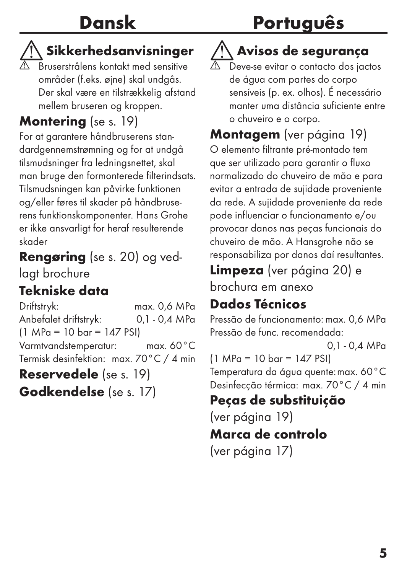### Português

#### Sikkerhedsanvisninger

 Bruserstrålens kontakt med sensitive områder (f.eks. øjne) skal undgås. Der skal være en tilstrækkelig afstand mellem bruseren og kroppen.

#### Montering (se s. 19)

For at garantere håndbruserens standardgennemstrømning og for at undgå tilsmudsninger fra ledningsnettet, skal man bruge den formonterede filterindsats. Tilsmudsningen kan påvirke funktionen og/eller føres til skader på håndbruserens funktionskomponenter. Hans Grohe er ikke ansvarligt for heraf resulterende skader

#### Rengøring (se s. 20) og ved-

lagt brochure

#### Tekniske data

Driftstryk: max. 0,6 MPa Anbefalet driftstryk: 0,1 - 0,4 MPa (1 MPa = 10 bar = 147 PSI) Varmtvandstemperatur: max. 60°C Termisk desinfektion: max. 70°C / 4 min

Reservedele (se s. 19) Godkendelse (se s. 17)

## Avisos de segurança

 Deve-se evitar o contacto dos jactos de água com partes do corpo sensíveis (p. ex. olhos). É necessário manter uma distância suficiente entre o chuveiro e o corpo.

Montagem (ver página 19) O elemento filtrante pré-montado tem que ser utilizado para garantir o fluxo normalizado do chuveiro de mão e para evitar a entrada de sujidade proveniente da rede. A sujidade proveniente da rede pode influenciar o funcionamento e/ou provocar danos nas peças funcionais do chuveiro de mão. A Hansgrohe não se responsabiliza por danos daí resultantes.

Limpeza (ver página 20) e brochura em anexo

#### Dados Técnicos

Pressão de funcionamento: max. 0,6 MPa Pressão de func. recomendada:

0,1 - 0,4 MPa (1 MPa = 10 bar = 147 PSI) Temperatura da água quente: max. 60°C Desinfecção térmica: max. 70°C / 4 min

#### Peças de substituição

(ver página 19)

#### Marca de controlo

(ver página 17)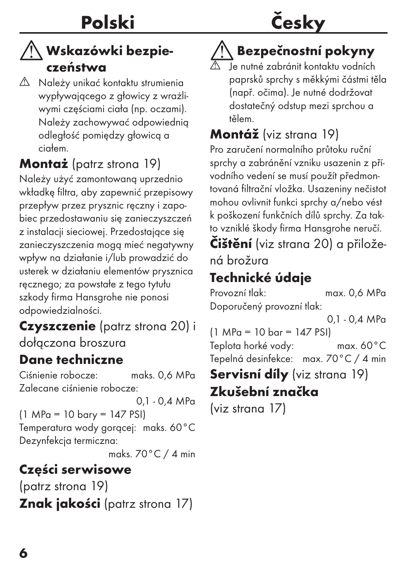#### $\wedge$  Wskazówki bezpieczeństwa

 $\triangle$  Należy unikać kontaktu strumienia wypływającego z głowicy z wrażliwymi częściami ciała (np. oczami). Należy zachowywać odpowiednią odległość pomiędzy głowicą a ciałem.

Montaż (patrz strona 19) Należy użyć zamontowaną uprzednio

wkładkę filtra, aby zapewnić przepisowy przepływ przez prysznic ręczny i zapobiec przedostawaniu się zanieczyszczeń z instalacji sieciowej. Przedostające się zanieczyszczenia mogą mieć negatywny wpływ na działanie i/lub prowadzić do usterek w działaniu elementów prysznica ręcznego; za powstałe z tego tytułu szkody firma Hansgrohe nie ponosi odpowiedzialności.

Czyszczenie (patrz strona 20) i dołączona broszura

#### Dane techniczne

Ciśnienie robocze: maks. 0,6 MPa Zalecane ciśnienie robocze:

0,1 - 0,4 MPa (1 MPa = 10 bary = 147 PSI) Temperatura wody gorącej: maks. 60°C Dezynfekcja termiczna:

maks. 70°C / 4 min

#### Części serwisowe

(patrz strona 19) Znak jakości (patrz strona 17)

## Česky

#### Bezpečnostní pokyny

 Je nutné zabránit kontaktu vodních paprsků sprchy s měkkými částmi těla (např. očima). Je nutné dodržovat dostatečný odstup mezi sprchou a tělem.

#### Montáž (viz strana 19)

Pro zaručení normalního průtoku ruční sprchy a zabránění vzniku usazenin z přívodního vedení se musí použít předmontovaná filtrační vložka. Usazeniny nečistot mohou ovlivnit funkci sprchy a/nebo vést k poškození funkčních dílů sprchy. Za takto vzniklé škody firma Hansgrohe neručí.

Čištění (viz strana 20) a přiložená brožura

#### Technické údaje

Provozní tlak: max. 0,6 MPa Doporučený provozní tlak:

0,1 - 0,4 MPa

(1 MPa = 10 bar = 147 PSI) Teplota horké vody: max. 60°C Tepelná desinfekce: max. 70°C / 4 min

Servisní díly (viz strana 19)

#### Zkušební značka

(viz strana 17)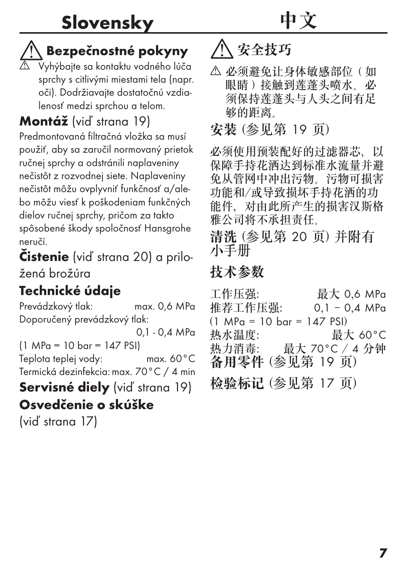#### Bezpečnostné pokyny

 Vyhýbajte sa kontaktu vodného lúča sprchy s citlivými miestami tela (napr. oči). Dodržiavajte dostatočnú vzdialenosť medzi sprchou a telom.

#### Montáž (viď strana 19)

Predmontovaná filtračná vložka sa musí použiť, aby sa zaručil normovaný prietok ručnej sprchy a odstránili naplaveniny nečistôt z rozvodnej siete. Naplaveniny nečistôt môžu ovplyvniť funkčnosť a/alebo môžu viesť k poškodeniam funkčných dielov ručnej sprchy, pričom za takto spôsobené škody spoločnosť Hansgrohe neručí.

Čistenie (viď strana 20) a priložená brožúra

#### Technické údaje

Prevádzkový tlak: max. 0,6 MPa Doporučený prevádzkový tlak: 0,1 - 0,4 MPa (1 MPa = 10 bar = 147 PSI) Teplota teplej vody: max. 60°C Termická dezinfekcia: max. 70°C / 4 min Servisné diely (vid' strana 19) Osvedčenie o skúške

(viď strana 17)

### 八 安全技巧

 必须避免让身体敏感部位(如 眼睛)接触到莲蓬头喷水。必 须保持莲蓬头与人头之间有足 够的距离。

中文

安装 (参见第 19 页)

必须使用预装配好的过滤器芯,以 保障手持花洒达到标准水流量并避 免从管网中冲出污物。污物可损害 功能和/或导致损坏手持花洒的功 能件,对由此所产生的损害汉斯格 雅公司将不承担责任。

清洗 (参见第 20 页) 并附有 小手册

#### 技术参数

工作压强: 最大 0,6 MPa 推荐工作压强: 0,1 - 0,4 MPa  $(1 \text{ MPa} = 10 \text{ bar} = 147 \text{ PSI})$ 热水温度: 最大 60°C 热力消毒: 最大 70°C / 4 分钟 备用零件 (参见第 19 页) 检验标记 (参见第 17 页)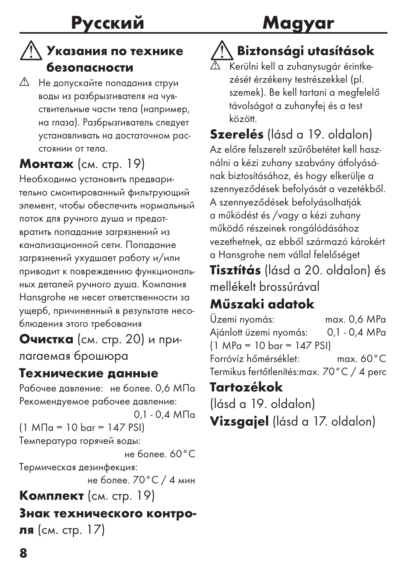#### Указания по технике безопасности

 Не допускайте попадания струи воды из разбрызгивателя на чувствительные части тела (например, на глаза). Разбрызгиватель следует устанавливать на достаточном расстоянии от тела.

#### Монтаж (см. стр. 19)

Необходимо установить предварительно смонтированный фильтрующий элемент, чтобы обеспечить нормальный поток для ручного душа и предотвратить попадание загрязнений из канализационной сети. Попадание загрязнений ухудшает работу и/или приводит к повреждению функциональных деталей ручного душа. Компания Hansgrohe не несет ответственности за ущерб, причиненный в результате несоблюдения этого требования

Очистка (см. стр. 20) и прилагаемая брошюра

#### Технические данные

Рабочее давление: не более. 0.6 МПа Рекомендуемое рабочее давление: 0,1 - 0,4 МПа

(1 МПа = 10 bar = 147 PSI) Температура горячей воды:

не более. 60°C

Термическая дезинфекция: не более. 70°C / 4 мин

Κомплеκт (см. стр. 19)

#### Знак технического контроля (см. стр. 17)

8

### Biztonsági utasítások Magyar

 Kerülni kell a zuhanysugár érintkezését érzékeny testrészekkel (pl. szemek). Be kell tartani a megfelelő távolságot a zuhanyfej és a test között.

Szerelés (lásd a 19. oldalon) Az előre felszerelt szűrőbetétet kell használni a kézi zuhany szabvány átfolyásának biztosításához, és hogy elkerülje a szennyeződések befolyását a vezetékből. A szennyeződések befolyásolhatják a működést és /vagy a kézi zuhany működő részeinek rongálódásához vezethetnek, az ebből származó károkért a Hansgrohe nem vállal felelőséget Tisztítás (lásd a 20. oldalon) és

mellékelt brossúrával

#### Műszaki adatok

Üzemi nyomás: max. 0,6 MPa Ajánlott üzemi nyomás: 0,1 - 0,4 MPa (1 MPa = 10 bar = 147 PSI) Forróvíz hőmérséklet: max. 60°C Termikus fertőtlenítés: max. 70°C / 4 perc

#### Tartozékok

(lásd a 19. oldalon) Vizsgajel (lásd a 17. oldalon)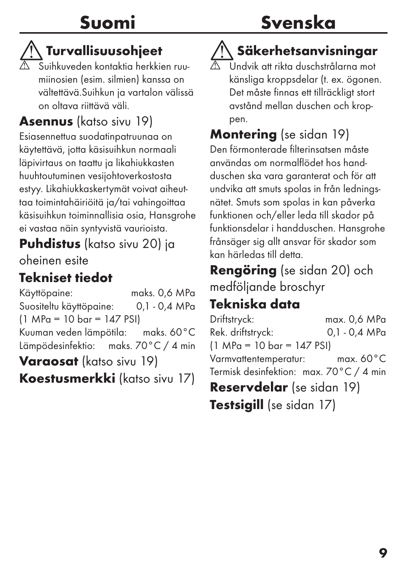### Suomi

### Svenska

### Turvallisuusohjeet

 Suihkuveden kontaktia herkkien ruumiinosien (esim. silmien) kanssa on vältettävä.Suihkun ja vartalon välissä on oltava riittävä väli.

#### Asennus (katso sivu 19)

Esiasennettua suodatinpatruunaa on käytettävä, jotta käsisuihkun normaali läpivirtaus on taattu ja likahiukkasten huuhtoutuminen vesijohtoverkostosta estyy. Likahiukkaskertymät voivat aiheuttaa toimintahäiriöitä ja/tai vahingoittaa käsisuihkun toiminnallisia osia, Hansgrohe ei vastaa näin syntyvistä vaurioista.

#### Puhdistus (katso sivu 20) ja

oheinen esite

#### Tekniset tiedot

Käyttöpaine: maks. 0,6 MPa Suositeltu käyttöpaine: 0,1 - 0,4 MPa (1 MPa = 10 bar = 147 PSI)

Kuuman veden lämpötila: maks. 60°C Lämpödesinfektio: maks. 70°C / 4 min

Varaosat (katso sivu 19)

Koestusmerkki (katso sivu 17)

#### Säkerhetsanvisningar

 Undvik att rikta duschstrålarna mot känsliga kroppsdelar (t. ex. ögonen. Det måste finnas ett tillräckligt stort avstånd mellan duschen och kroppen.

#### Montering (se sidan 19)

Den förmonterade filterinsatsen måste användas om normalflödet hos handduschen ska vara garanterat och för att undvika att smuts spolas in från ledningsnätet. Smuts som spolas in kan påverka funktionen och/eller leda till skador på funktionsdelar i handduschen. Hansgrohe frånsäger sig allt ansvar för skador som kan härledas till detta.

Rengöring (se sidan 20) och medföljande broschyr

#### Tekniska data

Driftstryck: max. 0,6 MPa Rek. driftstryck: 0,1 - 0,4 MPa (1 MPa = 10 bar = 147 PSI) Varmvattentemperatur: max. 60°C Termisk desinfektion: max. 70°C / 4 min Reservdelar (se sidan 19) Testsigill (se sidan 17)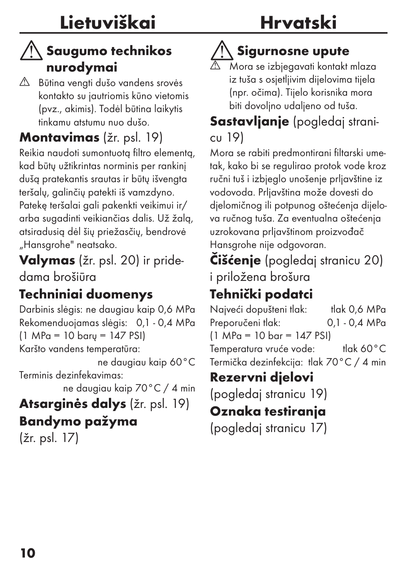#### $\wedge$  Saugumo technikos nurodymai

 Būtina vengti dušo vandens srovės kontakto su jautriomis kūno vietomis (pvz., akimis). Todėl būtina laikytis tinkamu atstumu nuo dušo.

#### Montavimas (žr. psl. 19)

Reikia naudoti sumontuotą filtro elementą, kad būtų užtikrintas norminis per rankinį dušą pratekantis srautas ir būtų išvengta teršalų, galinčių patekti iš vamzdyno. Patekę teršalai gali pakenkti veikimui ir/ arba sugadinti veikiančias dalis. Už žalą, atsiradusią dėl šių priežasčių, bendrovė "Hansgrohe" neatsako.

Valymas (žr. psl. 20) ir pridedama brošiūra

#### Techniniai duomenys

Darbinis slėgis: ne daugiau kaip 0,6 MPa Rekomenduojamas slėgis: 0,1 - 0,4 MPa (1 MPa = 10 barų = 147 PSI) Karšto vandens temperatūra: ne daugiau kaip 60°C Terminis dezinfekavimas: ne daugiau kaip 70°C / 4 min Atsarginės dalys (žr. psl. 19)

#### Bandymo pažyma

(žr. psl. 17)

### Hrvatski

### Sigurnosne upute

 Mora se izbjegavati kontakt mlaza iz tuša s osjetljivim dijelovima tijela (npr. očima). Tijelo korisnika mora biti dovoljno udaljeno od tuša.

#### Sastavlianie (pogledaj stranicu 19)

Mora se rabiti predmontirani filtarski umetak, kako bi se regulirao protok vode kroz ručni tuš i izbjeglo unošenje prljavštine iz vodovoda. Prljavština može dovesti do djelomičnog ili potpunog oštećenja dijelova ručnog tuša. Za eventualna oštećenja uzrokovana prljavštinom proizvođač Hansgrohe nije odgovoran.

Čišćenje (pogledaj stranicu 20) i priložena brošura

#### Tehnički podatci

Najveći dopušteni tlak: tlak 0,6 MPa Preporučeni tlak: 0,1 - 0,4 MPa (1 MPa = 10 bar = 147 PSI) Temperatura vruće vode: tlak 60°C Termička dezinfekcija: tlak 70°C / 4 min

#### Rezervni djelovi

(pogledaj stranicu 19)

#### Oznaka testiranja

(pogledaj stranicu 17)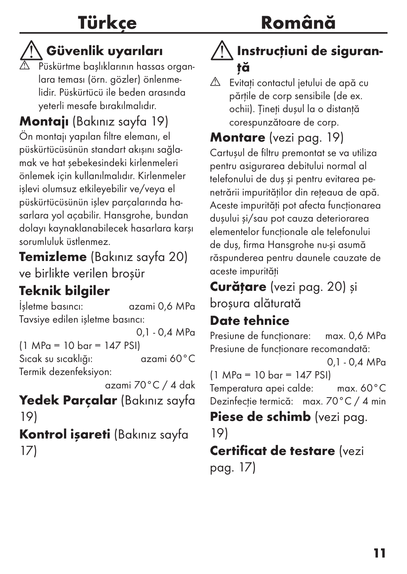#### Güvenlik uyarıları

 Püskürtme başlıklarının hassas organlara teması (örn. gözler) önlenmelidir. Püskürtücü ile beden arasında yeterli mesafe bırakılmalıdır.

Montajı (Bakınız sayfa 19) Ön montajı yapılan filtre elemanı, el püskürtücüsünün standart akışını sağlamak ve hat şebekesindeki kirlenmeleri önlemek için kullanılmalıdır. Kirlenmeler işlevi olumsuz etkileyebilir ve/veya el püskürtücüsünün işlev parçalarında hasarlara yol açabilir. Hansgrohe, bundan dolayı kaynaklanabilecek hasarlara karşı sorumluluk üstlenmez.

Temizleme (Bakınız sayfa 20) ve birlikte verilen broşür

#### Teknik bilgiler

İşletme basıncı: azami 0,6 MPa Tavsiye edilen işletme basıncı: 0,1 - 0,4 MPa (1 MPa = 10 bar = 147 PSI) Sıcak su sıcaklığı: azami 60°C Termik dezenfeksiyon: azami 70°C / 4 dak Yedek Parçalar (Bakınız sayfa

19) Kontrol işareti (Bakınız sayfa 17)

#### Instructiuni de siguranţă

 $\triangle$  Evitati contactul jetului de apă cu părtile de corp sensibile (de ex. ochii). Țineți dușul la o distanță corespunzătoare de corp.

Montare (vezi pag. 19)

Cartuşul de filtru premontat se va utiliza pentru asigurarea debitului normal al telefonului de duş şi pentru evitarea penetrării impurităţilor din reţeaua de apă. Aceste impurități pot afecta funcționarea duşului şi/sau pot cauza deteriorarea elementelor functionale ale telefonului de duş, firma Hansgrohe nu-şi asumă răspunderea pentru daunele cauzate de aceste impurități

Curățare (vezi pag. 20) și broşura alăturată

#### Date tehnice

Presiune de funcționare: max. 0,6 MPa Presiune de funcționare recomandată:

0,1 - 0,4 MPa

(1 MPa = 10 bar = 147 PSI) Temperatura apei calde: max. 60°C Dezinfecție termică: max. 70°C / 4 min

Piese de schimb (vezi pag. 19)

#### Certificat de testare (vezi pag. 17)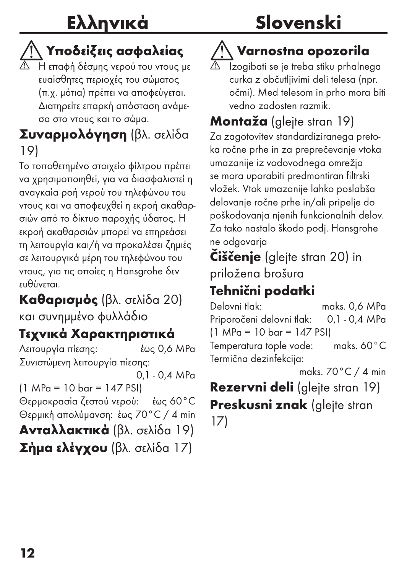### Slovenski

### Υποδείξεις ασφαλείας

 Η επαφή δέσμης νερού του ντους με ευαίσθητες περιοχές του σώματος (π.χ. μάτια) πρέπει να αποφεύγεται. Διατηρείτε επαρκή απόσταση ανάμεσα στο ντους και το σώμα.

#### Συναρμολόγηση (βλ. σελίδα 19)

Το τοποθετημένο στοιχείο φίλτρου πρέπει να χρησιμοποιηθεί, για να διασφαλιστεί η αναγκαία ροή νερού του τηλεφώνου του ντους και να αποφευχθεί η εκροή ακαθαρσιών από το δίκτυο παροχής ύδατος. Η εκροή ακαθαρσιών μπορεί να επηρεάσει τη λειτουργία και/ή να προκαλέσει ζημιές σε λειτουργικά μέρη του τηλεφώνου του ντους, για τις οποίες η Hansgrohe δεν ευθύνεται.

#### Καθαρισμός (βλ. σελίδα 20) και συνημμένο φυλλάδιο

#### Τεχνικά Χαρακτηριστικά

Λειτουργία πίεσης: έως 0,6 MPa Συνιστώμενη λειτουργία πίεσης: 0,1 - 0,4 MPa (1 MPa = 10 bar = 147 PSI) Θερμοκρασία ζεστού νερού: έως 60°C Θερμική απολύμανση: έως 70°C / 4 min Ανταλλακτικά (βλ. σελίδα 19) Σήμα ελέγχου (βλ. σελίδα 17)

## $\langle \rangle$  Varnostna opozorila

 Izogibati se je treba stiku prhalnega curka z občutljivimi deli telesa (npr. očmi). Med telesom in prho mora biti vedno zadosten razmik.

#### Montaža (gleite stran 19)

Za zagotovitev standardiziranega pretoka ročne prhe in za preprečevanje vtoka umazanije iz vodovodnega omrežja se mora uporabiti predmontiran filtrski vložek. Vtok umazanije lahko poslabša delovanje ročne prhe in/ali pripelje do poškodovanja njenih funkcionalnih delov. Za tako nastalo škodo podj. Hansgrohe ne odgovarja

Čiščenje (glejte stran 20) in priložena brošura

#### Tehnični podatki

Delovni tlak: maks. 0,6 MPa Priporočeni delovni tlak: 0,1 - 0,4 MPa (1 MPa = 10 bar = 147 PSI) Temperatura tople vode: maks. 60°C Termična dezinfekcija:

maks. 70°C / 4 min

Rezervni deli (glejte stran 19) Preskusni znak (glejte stran 17)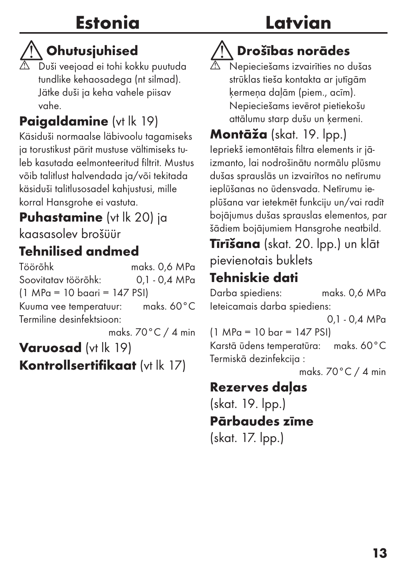### Estonia

### Latvian

### $\left\langle \right\langle \right\rangle$  Ohutusjuhised

 $\overline{\triangle}$  Duši veejoad ei tohi kokku puutuda tundlike kehaosadega (nt silmad). Jätke duši ja keha vahele piisav vahe.

#### Paiaaldamine (vt lk 19)

Käsiduši normaalse läbivoolu tagamiseks ja torustikust pärit mustuse vältimiseks tuleb kasutada eelmonteeritud filtrit. Mustus võib talitlust halvendada ja/või tekitada käsiduši talitlusosadel kahjustusi, mille korral Hansgrohe ei vastuta.

#### **Puhastamine** (vt lk 20) ja kaasasolev brošüür

#### Tehnilised andmed

Töörõhk maks. 0,6 MPa Soovitatav töörõhk: (1 MPa = 10 baari = 147 PSI) Kuuma vee temperatuur: maks. 60°C Termiline desinfektsioon:

maks. 70°C / 4 min

Varuosad (vt lk 19) Kontrollsertifikaat (vt lk 17)

## $\langle \rangle$ Drošības norādes

 Nepieciešams izvairīties no dušas strūklas tieša kontakta ar jutīgām ķermeņa daļām (piem., acīm). Nepieciešams ievērot pietiekošu attālumu starp dušu un ķermeni.

Montāža (skat. 19. lpp.) Iepriekš iemontētais filtra elements ir jāizmanto, lai nodrošinātu normālu plūsmu dušas sprauslās un izvairītos no netīrumu ieplūšanas no ūdensvada. Netīrumu ieplūšana var ietekmēt funkciju un/vai radīt bojājumus dušas sprauslas elementos, par šādiem bojājumiem Hansgrohe neatbild.

Tīrīšana (skat. 20. lpp.) un klāt pievienotais buklets

#### Tehniskie dati

Darba spiediens: maks. 0,6 MPa Ieteicamais darba spiediens:

0,1 - 0,4 MPa

(1 MPa = 10 bar = 147 PSI)

Karstā ūdens temperatūra: maks. 60°C Termiskā dezinfekcija :

maks. 70°C / 4 min

#### Rezerves daļas

(skat. 19. lpp.) Pārbaudes zīme (skat. 17. lpp.)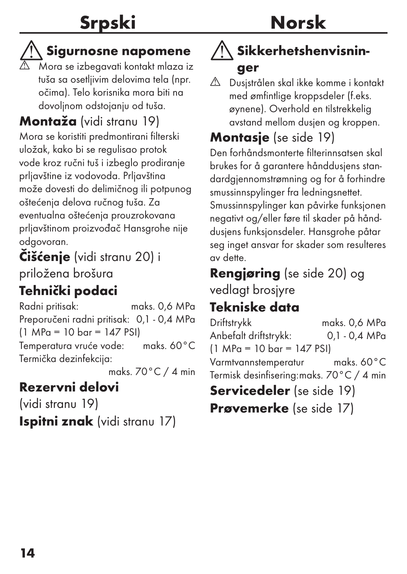### Srpski

### Norsk

#### Sigurnosne napomene

 $\overline{\triangle}$  Mora se izbegavati kontakt mlaza iz tuša sa osetljivim delovima tela (npr. očima). Telo korisnika mora biti na dovoljnom odstojanju od tuša.

#### Montaža (vidi stranu 19)

Mora se koristiti predmontirani filterski uložak, kako bi se regulisao protok vode kroz ručni tuš i izbeglo prodiranje prljavštine iz vodovoda. Prljavština može dovesti do delimičnog ili potpunog oštećenja delova ručnog tuša. Za eventualna oštećenja prouzrokovana prljavštinom proizvođač Hansgrohe nije odgovoran.

#### Čišćenje (vidi stranu 20) i priložena brošura

#### Tehnički podaci

Radni pritisak: maks. 0,6 MPa Preporučeni radni pritisak: 0,1 - 0,4 MPa (1 MPa = 10 bar = 147 PSI) Temperatura vruće vode: maks. 60°C Termička dezinfekcija:

maks. 70°C / 4 min

#### Rezervni delovi

(vidi stranu 19) Ispitni znak (vidi stranu 17)

#### Sikkerhetshenvisninger

 Dusjstrålen skal ikke komme i kontakt med ømfintlige kroppsdeler (f.eks. øynene). Overhold en tilstrekkelig avstand mellom dusjen og kroppen.

#### Montasie (se side 19)

Den forhåndsmonterte filterinnsatsen skal brukes for å garantere hånddusjens standardgjennomstrømning og for å forhindre smussinnspylinger fra ledningsnettet. Smussinnspylinger kan påvirke funksjonen negativt og/eller føre til skader på hånddusjens funksjonsdeler. Hansgrohe påtar seg inget ansvar for skader som resulteres av dette.

#### Rengjøring (se side 20) og vedlagt brosjyre

#### Tekniske data

Driftstrykk maks. 0,6 MPa Anbefalt driftstrykk: 0,1 - 0,4 MPa (1 MPa = 10 bar = 147 PSI) Varmtvannstemperatur maks. 60°C Termisk desinfisering: maks. 70°C / 4 min Servicedeler (se side 19)

Prøvemerke (se side 17)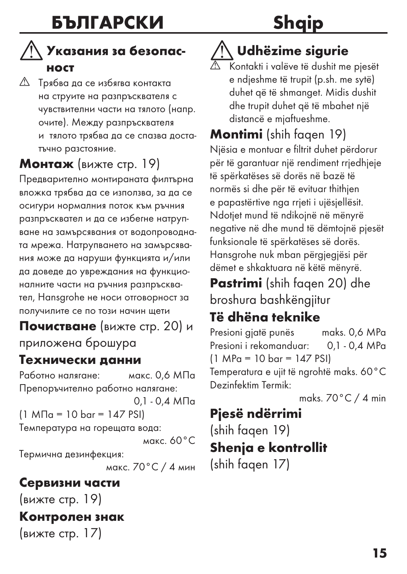### Shaip

#### Указания за безопасност

 Трябва да се избягва контакта на струите на разпръсквателя с чувствителни части на тялото (напр. очите). Между разпръсквателя и тялото трябва да се спазва достатъчно разстояние.

#### Монтаж (вижте стр. 19)

Предварително монтираната филтърна вложка трябва да се използва, за да се осигури нормалния поток към ръчния разпръсквател и да се избегне натрупване на замърсявания от водопроводната мрежа. Натрупването на замърсявания може да наруши функцията и/или да доведе до увреждания на функционалните части на ръчния разпръсквател, Hansgrohe не носи отговорност за получилите се по този начин щети

Почистване (вижте стр. 20) и приложена брошура

#### Технически данни

Работно налягане: макс. 0,6 МПа Препоръчително работно налягане:

0,1 - 0,4 МПа (1 МПа = 10 bar = 147 PSI) Температура на горещата вода: макс. 60°C

Термична дезинфекция:

макс. 70°C / 4 мин

#### Сервизни части

(вижте стр. 19)

#### Контролен знак

(вижте стр. 17)

#### Udhëzime sigurie

 Kontakti i valëve të dushit me pjesët e ndjeshme të trupit (p.sh. me sytë) duhet që të shmanget. Midis dushit dhe trupit duhet që të mbahet një distancë e mjaftueshme.

Montimi (shih faqen 19)

Njësia e montuar e filtrit duhet përdorur për të garantuar një rendiment rrjedhjeje të spërkatëses së dorës në bazë të normës si dhe për të evituar thithjen e papastërtive nga rrjeti i ujësjellësit. Ndotjet mund të ndikojnë në mënyrë negative në dhe mund të dëmtojnë pjesët funksionale të spërkatëses së dorës. Hansgrohe nuk mban përgjegjësi për dëmet e shkaktuara në këtë mënyrë.

Pastrimi (shih faqen 20) dhe broshura bashkëngjitur

#### Të dhëna teknike

Presioni gjatë punës maks. 0,6 MPa Presioni i rekomanduar: 0,1 - 0,4 MPa (1 MPa = 10 bar = 147 PSI) Temperatura e ujit të ngrohtë maks. 60°C Dezinfektim Termik:

maks. 70°C / 4 min

#### Pjesë ndërrimi (shih faqen 19)

#### Shenja e kontrollit (shih faqen 17)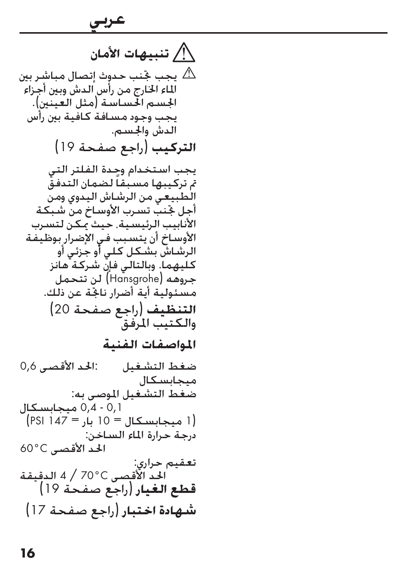**تنبيهات األمان** بحب جخنب حدوث إتصال مباشر بين  $\triangle$ الماء الخارج من رأس الدش وبين أجزاء<br>الحسـم الحسـاسـة (مثل العـنـن) يجب وجود مسافة كافية بين رأس<br>الدش والجسم. **التركيب (راجع صفحة 19)** يجب استخدام وحدة الفلتر التي مت تركيبها مسبقاً لضمان التدفق الطبيعي من الرشاش اليدوي ومن أجل جتنب تسرب األوساخ من شبكة الأنابيب الرئيسية، حيث مكن لتسرب الأوساخ أن يتسبب في الإضرار بوظيفة<br>الرشاش بشكل كلي أو جزئي أو كليهما. وبالتالي فإن شركة هانز مسئولية أية أضرار ناجّة عن ذلك. **التنظيف** )راجع صفحة 20( والكتيب المرفق **املواصفات الفنية** ضغط التشغيل : احلد األقصى 0,6 ميجابسكال ضغط التشغيل املوصى به: 0,1 - 0,4 ميجابسكال )1 ميجابسكال = 10 بار = 147 PSI) درجة حرارة الماء الساخن: الحد الأقصى C0°C تعقيم حراري:<br>الحد الأقصى 600 / 4 الدقيقة **قطع الغيار** )راجع صفحة 19( احلد األقصى C70° / <sup>4</sup> الدقيقة **شهادة اختبار** )راجع صفحة 17(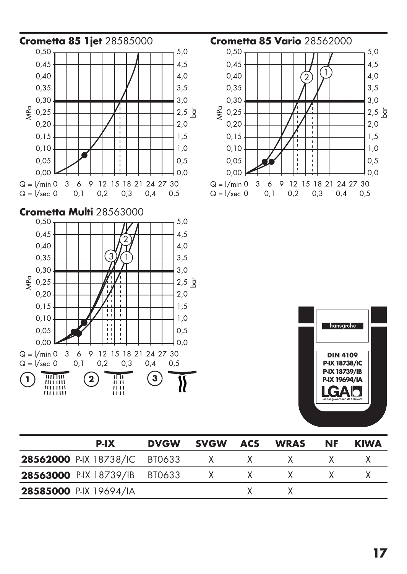

| P-IX                                 | <b>DVGW</b> | svGW         | ACS          | <b>WRAS</b> | NF | <b>KIWA</b> |
|--------------------------------------|-------------|--------------|--------------|-------------|----|-------------|
| <b>28562000 P-IX 18738/IC BT0633</b> |             | $\mathsf{X}$ | $\mathsf{X}$ |             |    |             |
| 28563000 P-IX 18739/IB BT0633        |             | $\mathsf{X}$ | $\times$ X   |             |    |             |
| 28585000 P-IX 19694/IA               |             |              |              |             |    |             |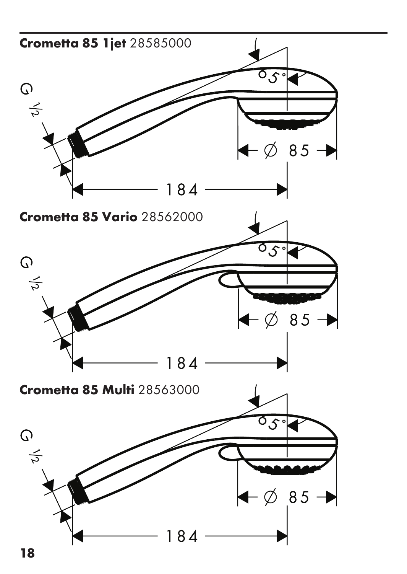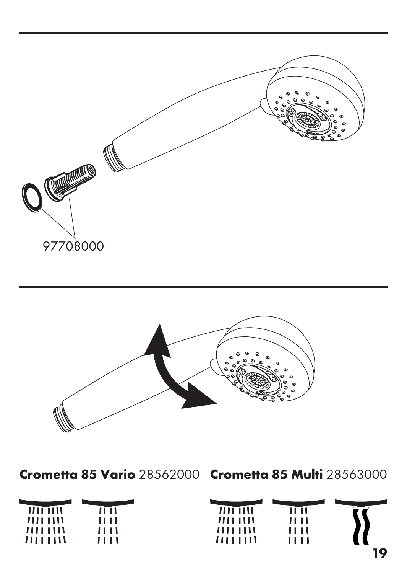



Crometta 85 Vario 28562000 Crometta 85 Multi 28563000

| $III$ $IIII$ | 11 I I | $III$ $IIII$ | 11 I I |    |
|--------------|--------|--------------|--------|----|
| 1111111      | 11 I I | 1111111      | ,,,,   |    |
| 1111111      | ,,,,   | 1111111      | ,,,,   |    |
| 1111111      | ,,,,   | 1111111      | ,,,,   |    |
|              |        |              |        | 10 |